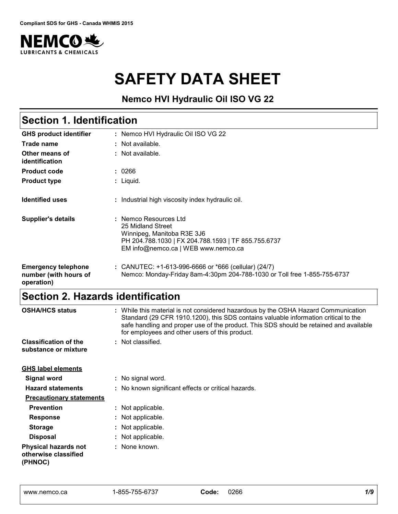

# **SAFETY DATA SHEET**

# **Nemco HVI Hydraulic Oil ISO VG 22**

| <b>Section 1. Identification</b>                                  |                                                                                                                                                                        |  |
|-------------------------------------------------------------------|------------------------------------------------------------------------------------------------------------------------------------------------------------------------|--|
| <b>GHS product identifier</b>                                     | : Nemco HVI Hydraulic Oil ISO VG 22                                                                                                                                    |  |
| Trade name                                                        | : Not available.                                                                                                                                                       |  |
| Other means of<br>identification                                  | : Not available.                                                                                                                                                       |  |
| <b>Product code</b>                                               | : 0266                                                                                                                                                                 |  |
| <b>Product type</b>                                               | : Liquid.                                                                                                                                                              |  |
| <b>Identified uses</b>                                            | : Industrial high viscosity index hydraulic oil.                                                                                                                       |  |
| <b>Supplier's details</b>                                         | : Nemco Resources Ltd<br>25 Midland Street<br>Winnipeg, Manitoba R3E 3J6<br>PH 204.788.1030   FX 204.788.1593   TF 855.755.6737<br>EM info@nemco.ca   WEB www.nemco.ca |  |
| <b>Emergency telephone</b><br>number (with hours of<br>operation) | : CANUTEC: $+1-613-996-6666$ or $*666$ (cellular) (24/7)<br>Nemco: Monday-Friday 8am-4:30pm 204-788-1030 or Toll free 1-855-755-6737                                   |  |

# **Section 2. Hazards identification**

| <b>OSHA/HCS status</b>                                         | : While this material is not considered hazardous by the OSHA Hazard Communication<br>Standard (29 CFR 1910.1200), this SDS contains valuable information critical to the<br>safe handling and proper use of the product. This SDS should be retained and available<br>for employees and other users of this product. |
|----------------------------------------------------------------|-----------------------------------------------------------------------------------------------------------------------------------------------------------------------------------------------------------------------------------------------------------------------------------------------------------------------|
| <b>Classification of the</b><br>substance or mixture           | : Not classified.                                                                                                                                                                                                                                                                                                     |
| <b>GHS label elements</b>                                      |                                                                                                                                                                                                                                                                                                                       |
| Signal word                                                    | : No signal word.                                                                                                                                                                                                                                                                                                     |
| <b>Hazard statements</b>                                       | : No known significant effects or critical hazards.                                                                                                                                                                                                                                                                   |
| <b>Precautionary statements</b>                                |                                                                                                                                                                                                                                                                                                                       |
| <b>Prevention</b>                                              | : Not applicable.                                                                                                                                                                                                                                                                                                     |
| <b>Response</b>                                                | : Not applicable.                                                                                                                                                                                                                                                                                                     |
| <b>Storage</b>                                                 | : Not applicable.                                                                                                                                                                                                                                                                                                     |
| <b>Disposal</b>                                                | : Not applicable.                                                                                                                                                                                                                                                                                                     |
| <b>Physical hazards not</b><br>otherwise classified<br>(PHNOC) | : None known.                                                                                                                                                                                                                                                                                                         |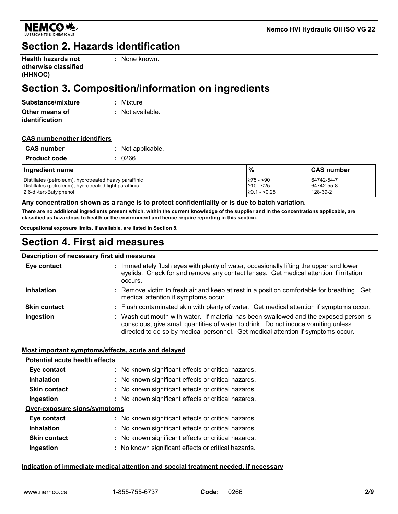

### **Section 2. Hazards identification**

| <b>Health hazards not</b> |  |
|---------------------------|--|
| otherwise classified      |  |
| (HHNOC)                   |  |

**:** None known.

# **Section 3. Composition/information on ingredients**

| Substance/mixture | : Mixture        |
|-------------------|------------------|
| Other means of    | : Not available. |
| identification    |                  |

#### **CAS number/other identifiers**

| <b>CAS number</b>   | : Not applicable. |
|---------------------|-------------------|
| <b>Product code</b> | : 0266            |

| Ingredient name                                        | $\%$               | <b>CAS number</b> |
|--------------------------------------------------------|--------------------|-------------------|
| Distillates (petroleum), hydrotreated heavy paraffinic | l≥75 - <90         | 64742-54-7        |
| Distillates (petroleum), hydrotreated light paraffinic | $\geq 10 - 25$     | 64742-55-8        |
| 2,6-di-tert-Butylphenol                                | $\geq$ 0.1 - <0.25 | 128-39-2          |

#### **Any concentration shown as a range is to protect confidentiality or is due to batch variation.**

**There are no additional ingredients present which, within the current knowledge of the supplier and in the concentrations applicable, are classified as hazardous to health or the environment and hence require reporting in this section.**

**Occupational exposure limits, if available, are listed in Section 8.**

### **Section 4. First aid measures**

#### **Description of necessary first aid measures**

| Eye contact         | : Immediately flush eyes with plenty of water, occasionally lifting the upper and lower<br>eyelids. Check for and remove any contact lenses. Get medical attention if irritation<br>occurs.                                                                    |
|---------------------|----------------------------------------------------------------------------------------------------------------------------------------------------------------------------------------------------------------------------------------------------------------|
| <b>Inhalation</b>   | : Remove victim to fresh air and keep at rest in a position comfortable for breathing. Get<br>medical attention if symptoms occur.                                                                                                                             |
| <b>Skin contact</b> | : Flush contaminated skin with plenty of water. Get medical attention if symptoms occur.                                                                                                                                                                       |
| Ingestion           | : Wash out mouth with water. If material has been swallowed and the exposed person is<br>conscious, give small quantities of water to drink. Do not induce vomiting unless<br>directed to do so by medical personnel. Get medical attention if symptoms occur. |

#### **Most important symptoms/effects, acute and delayed**

| <b>Potential acute health effects</b> |                                                     |
|---------------------------------------|-----------------------------------------------------|
| Eye contact                           | : No known significant effects or critical hazards. |
| <b>Inhalation</b>                     | : No known significant effects or critical hazards. |
| <b>Skin contact</b>                   | : No known significant effects or critical hazards. |
| Ingestion                             | : No known significant effects or critical hazards. |
| Over-exposure signs/symptoms          |                                                     |
| Eye contact                           | : No known significant effects or critical hazards. |
| <b>Inhalation</b>                     | : No known significant effects or critical hazards. |
| <b>Skin contact</b>                   | : No known significant effects or critical hazards. |
| Ingestion                             | : No known significant effects or critical hazards. |

#### **Indication of immediate medical attention and special treatment needed, if necessary**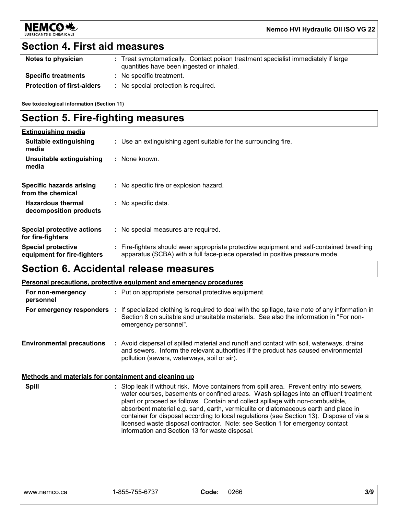

### **Section 4. First aid measures**

| Notes to physician                | : Treat symptomatically. Contact poison treatment specialist immediately if large<br>quantities have been ingested or inhaled. |
|-----------------------------------|--------------------------------------------------------------------------------------------------------------------------------|
| <b>Specific treatments</b>        | : No specific treatment.                                                                                                       |
| <b>Protection of first-aiders</b> | No special protection is required.                                                                                             |

**See toxicological information (Section 11)**

# **Section 5. Fire-fighting measures**

| <b>Extinguishing media</b>                               |                                                                                                                                                                          |
|----------------------------------------------------------|--------------------------------------------------------------------------------------------------------------------------------------------------------------------------|
| Suitable extinguishing<br>media                          | : Use an extinguishing agent suitable for the surrounding fire.                                                                                                          |
| Unsuitable extinguishing<br>media                        | : None known.                                                                                                                                                            |
| <b>Specific hazards arising</b><br>from the chemical     | No specific fire or explosion hazard.                                                                                                                                    |
| <b>Hazardous thermal</b><br>decomposition products       | : No specific data.                                                                                                                                                      |
| <b>Special protective actions</b><br>for fire-fighters   | : No special measures are required.                                                                                                                                      |
| <b>Special protective</b><br>equipment for fire-fighters | : Fire-fighters should wear appropriate protective equipment and self-contained breathing<br>apparatus (SCBA) with a full face-piece operated in positive pressure mode. |

# **Section 6. Accidental release measures**

#### **Personal precautions, protective equipment and emergency procedures**

| For non-emergency<br>personnel                        | : Put on appropriate personal protective equipment.                                                                                                                                                                                                                                                                                                                                                                                                                                                                                                                                        |
|-------------------------------------------------------|--------------------------------------------------------------------------------------------------------------------------------------------------------------------------------------------------------------------------------------------------------------------------------------------------------------------------------------------------------------------------------------------------------------------------------------------------------------------------------------------------------------------------------------------------------------------------------------------|
| For emergency responders                              | If specialized clothing is required to deal with the spillage, take note of any information in<br>÷.<br>Section 8 on suitable and unsuitable materials. See also the information in "For non-<br>emergency personnel".                                                                                                                                                                                                                                                                                                                                                                     |
| <b>Environmental precautions</b>                      | : Avoid dispersal of spilled material and runoff and contact with soil, waterways, drains<br>and sewers. Inform the relevant authorities if the product has caused environmental<br>pollution (sewers, waterways, soil or air).                                                                                                                                                                                                                                                                                                                                                            |
| Methods and materials for containment and cleaning up |                                                                                                                                                                                                                                                                                                                                                                                                                                                                                                                                                                                            |
| <b>Spill</b>                                          | : Stop leak if without risk. Move containers from spill area. Prevent entry into sewers,<br>water courses, basements or confined areas. Wash spillages into an effluent treatment<br>plant or proceed as follows. Contain and collect spillage with non-combustible,<br>absorbent material e.g. sand, earth, vermiculite or diatomaceous earth and place in<br>container for disposal according to local regulations (see Section 13). Dispose of via a<br>licensed waste disposal contractor. Note: see Section 1 for emergency contact<br>information and Section 13 for waste disposal. |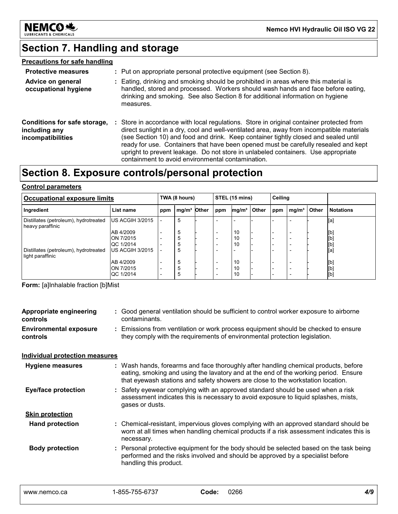

# **Section 7. Handling and storage**

### **Precautions for safe handling**

| <b>Protective measures</b>                                                |    | : Put on appropriate personal protective equipment (see Section 8).                                                                                                                                                                                                                                                                                                                                                                                                                                         |
|---------------------------------------------------------------------------|----|-------------------------------------------------------------------------------------------------------------------------------------------------------------------------------------------------------------------------------------------------------------------------------------------------------------------------------------------------------------------------------------------------------------------------------------------------------------------------------------------------------------|
| Advice on general<br>occupational hygiene                                 |    | : Eating, drinking and smoking should be prohibited in areas where this material is<br>handled, stored and processed. Workers should wash hands and face before eating,<br>drinking and smoking. See also Section 8 for additional information on hygiene<br>measures.                                                                                                                                                                                                                                      |
| Conditions for safe storage,<br>including any<br><i>incompatibilities</i> | ÷. | Store in accordance with local regulations. Store in original container protected from<br>direct sunlight in a dry, cool and well-ventilated area, away from incompatible materials<br>(see Section 10) and food and drink. Keep container tightly closed and sealed until<br>ready for use. Containers that have been opened must be carefully resealed and kept<br>upright to prevent leakage. Do not store in unlabeled containers. Use appropriate<br>containment to avoid environmental contamination. |

# **Section 8. Exposure controls/personal protection**

### **Control parameters**

| Occupational exposure limits                              |                               | TWA (8 hours) |                         | STEL (15 mins) |                          | Ceiling           |       |     |                   |       |                  |
|-----------------------------------------------------------|-------------------------------|---------------|-------------------------|----------------|--------------------------|-------------------|-------|-----|-------------------|-------|------------------|
| Ingredient                                                | List name                     | ppm           | mg/m <sup>3</sup> Other |                | ppm                      | mg/m <sup>3</sup> | Other | ppm | mg/m <sup>3</sup> | Other | <b>Notations</b> |
| Distillates (petroleum), hydrotreated<br>heavy paraffinic | IUS ACGIH 3/2015              |               | 5                       |                |                          |                   |       |     |                   |       | [a]              |
|                                                           | AB 4/2009                     |               | 5                       |                | $\overline{\phantom{0}}$ | 10                |       |     |                   |       | [b]              |
|                                                           | <b>ON 7/2015</b>              |               |                         |                | $\overline{\phantom{0}}$ | 10                |       |     |                   |       | [b]              |
| Distillates (petroleum), hydrotreated                     | QC 1/2014<br>IUS ACGIH 3/2015 |               | 5                       |                | $\overline{\phantom{a}}$ | 10                |       |     |                   |       | [b]<br>[a]       |
| light paraffinic                                          |                               |               |                         |                |                          |                   |       |     |                   |       |                  |
|                                                           | AB 4/2009                     |               | 5                       |                | $\overline{\phantom{a}}$ | 10                |       |     |                   |       | [b]              |
|                                                           | ON 7/2015                     |               | 5                       |                | $\overline{\phantom{0}}$ | 10                |       |     |                   |       | [b]              |
|                                                           | IQC 1/2014                    |               |                         |                |                          | 10                |       |     |                   |       | [b]              |

**Form:** [a]Inhalable fraction [b]Mist

| Appropriate engineering<br>controls       | : Good general ventilation should be sufficient to control worker exposure to airborne<br>contaminants.                                                                                                                                                       |
|-------------------------------------------|---------------------------------------------------------------------------------------------------------------------------------------------------------------------------------------------------------------------------------------------------------------|
| <b>Environmental exposure</b><br>controls | : Emissions from ventilation or work process equipment should be checked to ensure<br>they comply with the requirements of environmental protection legislation.                                                                                              |
| <b>Individual protection measures</b>     |                                                                                                                                                                                                                                                               |
| <b>Hygiene measures</b>                   | : Wash hands, forearms and face thoroughly after handling chemical products, before<br>eating, smoking and using the lavatory and at the end of the working period. Ensure<br>that eyewash stations and safety showers are close to the workstation location. |
| <b>Eye/face protection</b>                | : Safety eyewear complying with an approved standard should be used when a risk<br>assessment indicates this is necessary to avoid exposure to liquid splashes, mists,<br>gases or dusts.                                                                     |
| <b>Skin protection</b>                    |                                                                                                                                                                                                                                                               |
| <b>Hand protection</b>                    | : Chemical-resistant, impervious gloves complying with an approved standard should be<br>worn at all times when handling chemical products if a risk assessment indicates this is<br>necessary.                                                               |
| <b>Body protection</b>                    | : Personal protective equipment for the body should be selected based on the task being<br>performed and the risks involved and should be approved by a specialist before<br>handling this product.                                                           |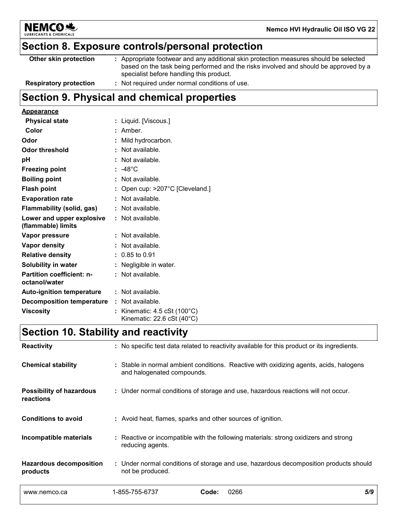

# **Section 8. Exposure controls/personal protection**

| Other skin protection         | : Appropriate footwear and any additional skin protection measures should be selected<br>based on the task being performed and the risks involved and should be approved by a<br>specialist before handling this product. |
|-------------------------------|---------------------------------------------------------------------------------------------------------------------------------------------------------------------------------------------------------------------------|
| <b>Respiratory protection</b> | : Not required under normal conditions of use.                                                                                                                                                                            |

# **Section 9. Physical and chemical properties**

#### **Appearance**

| <b>Physical state</b>                             | : Liquid. [Viscous.]                                                                        |
|---------------------------------------------------|---------------------------------------------------------------------------------------------|
| Color                                             | : Amber.                                                                                    |
| Odor                                              | Mild hydrocarbon.                                                                           |
| <b>Odor threshold</b>                             | : Not available.                                                                            |
| рH                                                | Not available.                                                                              |
| <b>Freezing point</b>                             | $: -48^{\circ}$ C                                                                           |
| <b>Boiling point</b>                              | Not available.                                                                              |
| <b>Flash point</b>                                | : Open cup: $>207^{\circ}$ C [Cleveland.]                                                   |
| <b>Evaporation rate</b>                           | : Not available.                                                                            |
| <b>Flammability (solid, gas)</b>                  | $:$ Not available.                                                                          |
| Lower and upper explosive<br>(flammable) limits   | : Not available.                                                                            |
| Vapor pressure                                    | $:$ Not available.                                                                          |
| Vapor density                                     | : Not available.                                                                            |
| <b>Relative density</b>                           | $: 0.85$ to 0.91                                                                            |
| Solubility in water                               | : Negligible in water.                                                                      |
| <b>Partition coefficient: n-</b><br>octanol/water | $:$ Not available.                                                                          |
| <b>Auto-ignition temperature</b>                  | : Not available.                                                                            |
| <b>Decomposition temperature</b>                  | : Not available.                                                                            |
| <b>Viscosity</b>                                  | Kinematic: $4.5 \text{ cSt } (100^{\circ} \text{C})$<br>Kinematic: 22.6 cSt $(40^{\circ}C)$ |

# **Section 10. Stability and reactivity**

| <b>Reactivity</b>                            |                            | : No specific test data related to reactivity available for this product or its ingredients. |     |
|----------------------------------------------|----------------------------|----------------------------------------------------------------------------------------------|-----|
| <b>Chemical stability</b>                    | and halogenated compounds. | : Stable in normal ambient conditions. Reactive with oxidizing agents, acids, halogens       |     |
| <b>Possibility of hazardous</b><br>reactions |                            | : Under normal conditions of storage and use, hazardous reactions will not occur.            |     |
| <b>Conditions to avoid</b>                   |                            | : Avoid heat, flames, sparks and other sources of ignition.                                  |     |
| Incompatible materials                       | reducing agents.           | : Reactive or incompatible with the following materials: strong oxidizers and strong         |     |
| <b>Hazardous decomposition</b><br>products   | not be produced.           | : Under normal conditions of storage and use, hazardous decomposition products should        |     |
| www.nemco.ca                                 | 1-855-755-6737             | 0266<br>Code:                                                                                | 5/9 |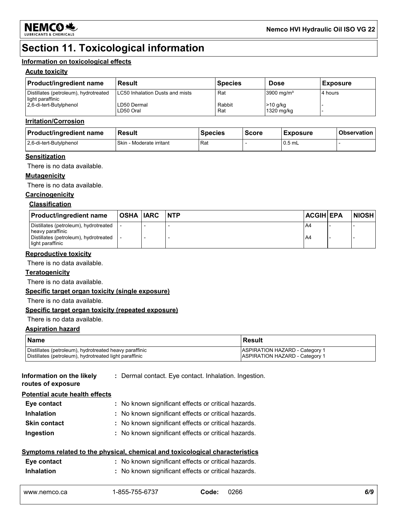

# **Section 11. Toxicological information**

#### **Information on toxicological effects**

#### **Acute toxicity**

| <b>Product/ingredient name</b>                            | <b>Result</b>                   | <b>Species</b> | <b>Dose</b>              | <b>Exposure</b> |
|-----------------------------------------------------------|---------------------------------|----------------|--------------------------|-----------------|
| Distillates (petroleum), hydrotreated<br>light paraffinic | LC50 Inhalation Dusts and mists | Rat            | 3900 mg/ $m3$            | 4 hours         |
| 2.6-di-tert-Butylphenol                                   | LD50 Dermal<br>LD50 Oral        | Rabbit<br>Rat  | $>10$ g/kg<br>1320 mg/kg |                 |

#### **Irritation/Corrosion**

| <b>Product/ingredient name</b> | Result                             | <b>Species</b> | <b>Score</b> | <b>Exposure</b> | <b>Observation</b> |
|--------------------------------|------------------------------------|----------------|--------------|-----------------|--------------------|
| 2.6-di-tert-Butylphenol        | <b>Skin</b><br>- Moderate irritant | Rat            |              | $0.5$ mL        |                    |

#### **Sensitization**

There is no data available.

#### **Mutagenicity**

There is no data available.

#### **Carcinogenicity**

#### **Classification**

| <b>Product/ingredient name</b>                            | OSHA  IARC | <b>INTP</b> | <b>ACGIH EPA</b> | <b>NIOSH</b> |
|-----------------------------------------------------------|------------|-------------|------------------|--------------|
| Distillates (petroleum), hydrotreated<br>heavy paraffinic |            |             | A4               |              |
| Distillates (petroleum), hydrotreated<br>light paraffinic |            |             | A4               |              |

#### **Reproductive toxicity**

There is no data available.

#### **Teratogenicity**

There is no data available.

#### **Specific target organ toxicity (single exposure)**

There is no data available.

#### **Specific target organ toxicity (repeated exposure)**

#### There is no data available.

#### **Aspiration hazard**

| Name                                                   | <b>Result</b>                         |
|--------------------------------------------------------|---------------------------------------|
| Distillates (petroleum), hydrotreated heavy paraffinic | <b>ASPIRATION HAZARD - Category 1</b> |
| Distillates (petroleum), hydrotreated light paraffinic | <b>ASPIRATION HAZARD - Category 1</b> |

**Information on the likely** 

**:** Dermal contact. Eye contact. Inhalation. Ingestion.

**routes of exposure Potential acute health effects**

| I Olenhai acute Health effects |                                                     |
|--------------------------------|-----------------------------------------------------|
| Eye contact                    | : No known significant effects or critical hazards. |
| <b>Inhalation</b>              | : No known significant effects or critical hazards. |
| <b>Skin contact</b>            | : No known significant effects or critical hazards. |
| Ingestion                      | : No known significant effects or critical hazards. |

#### **Symptoms related to the physical, chemical and toxicological characteristics**

| Eye contact       | : No known significant effects or critical hazards. |
|-------------------|-----------------------------------------------------|
| <b>Inhalation</b> | : No known significant effects or critical hazards. |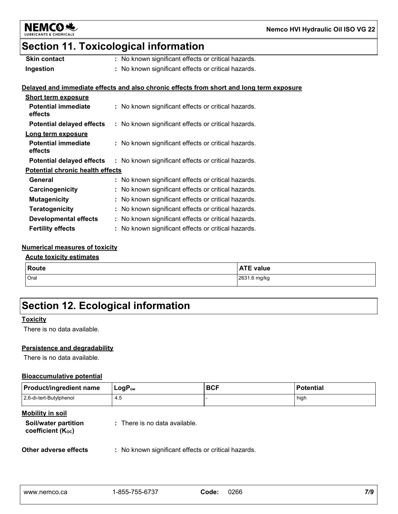

# **Section 11. Toxicological information**

| <b>Skin contact</b> | : No known significant effects or critical hazards. |
|---------------------|-----------------------------------------------------|
| Ingestion           | : No known significant effects or critical hazards. |

#### **Delayed and immediate effects and also chronic effects from short and long term exposure**

| <b>Short term exposure</b>              |                                                     |  |  |
|-----------------------------------------|-----------------------------------------------------|--|--|
| <b>Potential immediate</b><br>effects   | : No known significant effects or critical hazards. |  |  |
| <b>Potential delayed effects</b>        | : No known significant effects or critical hazards. |  |  |
| Long term exposure                      |                                                     |  |  |
| <b>Potential immediate</b><br>effects   | : No known significant effects or critical hazards. |  |  |
| <b>Potential delayed effects</b>        | : No known significant effects or critical hazards. |  |  |
| <b>Potential chronic health effects</b> |                                                     |  |  |
| General                                 | : No known significant effects or critical hazards. |  |  |
| Carcinogenicity                         | : No known significant effects or critical hazards. |  |  |
| <b>Mutagenicity</b>                     | : No known significant effects or critical hazards. |  |  |
| <b>Teratogenicity</b>                   | : No known significant effects or critical hazards. |  |  |
| Developmental effects                   | : No known significant effects or critical hazards. |  |  |
| <b>Fertility effects</b>                | : No known significant effects or critical hazards. |  |  |

#### **Numerical measures of toxicity**

#### **Acute toxicity estimates**

| <b>Route</b> | <b>ATE value</b> |
|--------------|------------------|
| Oral         | 2631.6 mg/kg     |

# **Section 12. Ecological information**

#### **Toxicity**

There is no data available.

#### **Persistence and degradability**

There is no data available.

#### **Bioaccumulative potential**

| <b>Product/ingredient name</b> | $LogP_{ow}$ | .BCF | <b>Potential</b> |
|--------------------------------|-------------|------|------------------|
| 2,6-di-tert-Butylphenol        | 4.5         |      | high             |

#### **Mobility in soil**

| Soil/water partition   | : There is no data available. |
|------------------------|-------------------------------|
| coefficient $(K_{oc})$ |                               |

**Other adverse effects** : No known significant effects or critical hazards.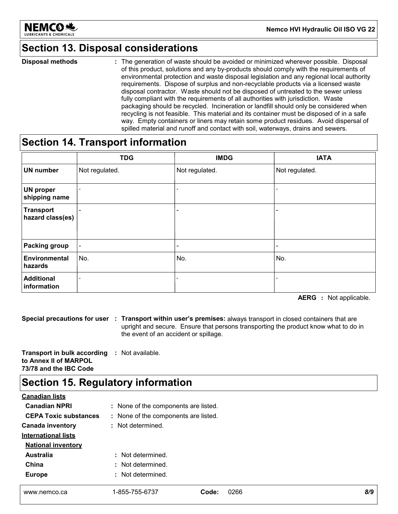

# **Section 13. Disposal considerations**

The generation of waste should be avoided or minimized wherever possible. Disposal of this product, solutions and any by-products should comply with the requirements of environmental protection and waste disposal legislation and any regional local authority requirements. Dispose of surplus and non-recyclable products via a licensed waste disposal contractor. Waste should not be disposed of untreated to the sewer unless fully compliant with the requirements of all authorities with jurisdiction. Waste packaging should be recycled. Incineration or landfill should only be considered when recycling is not feasible. This material and its container must be disposed of in a safe way. Empty containers or liners may retain some product residues. Avoid dispersal of spilled material and runoff and contact with soil, waterways, drains and sewers. **Disposal methods :**

### **Section 14. Transport information**

|                                      | <b>TDG</b>               | <b>IMDG</b>                  | <b>IATA</b>                  |
|--------------------------------------|--------------------------|------------------------------|------------------------------|
| <b>UN number</b>                     | Not regulated.           | Not regulated.               | Not regulated.               |
| <b>UN proper</b><br>shipping name    |                          | $\qquad \qquad \blacksquare$ |                              |
| <b>Transport</b><br>hazard class(es) | $\overline{\phantom{0}}$ | $\qquad \qquad \blacksquare$ |                              |
| <b>Packing group</b>                 | $\blacksquare$           | $\overline{\phantom{0}}$     | $\qquad \qquad \blacksquare$ |
| Environmental<br>hazards             | No.                      | No.                          | No.                          |
| <b>Additional</b><br>information     | $\overline{\phantom{a}}$ |                              |                              |

**AERG :** Not applicable.

**Special precautions for user Transport within user's premises:** always transport in closed containers that are **:** upright and secure. Ensure that persons transporting the product know what to do in the event of an accident or spillage.

**Transport in bulk according :** Not available. **to Annex II of MARPOL 73/78 and the IBC Code**

# **Section 15. Regulatory information**

| <b>Canadian lists</b>        |                                      |               |     |
|------------------------------|--------------------------------------|---------------|-----|
| <b>Canadian NPRI</b>         | : None of the components are listed. |               |     |
| <b>CEPA Toxic substances</b> | : None of the components are listed. |               |     |
| <b>Canada inventory</b>      | : Not determined.                    |               |     |
| <b>International lists</b>   |                                      |               |     |
| <b>National inventory</b>    |                                      |               |     |
| <b>Australia</b>             | : Not determined.                    |               |     |
| China                        | : Not determined.                    |               |     |
| <b>Europe</b>                | : Not determined.                    |               |     |
|                              |                                      |               |     |
| www.nemco.ca                 | 1-855-755-6737                       | 0266<br>Code: | 8/9 |